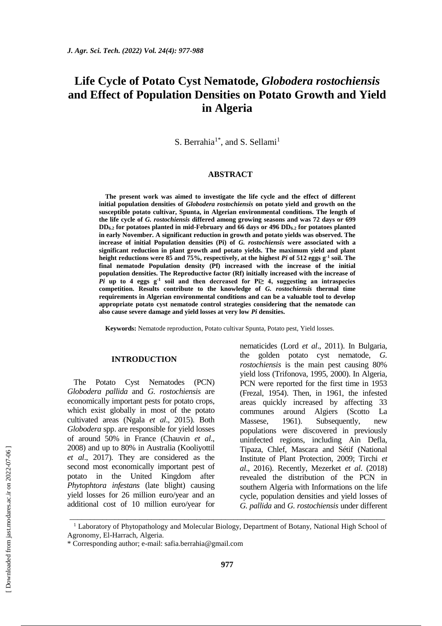# **Life Cycle of Potato Cyst Nematode,** *Globodera rostochiensis*  **and Effect of Population Densities on Potato Growth and Yield in Algeria**

S. Berrahia<sup>1\*</sup>, and S. Sellami<sup>1</sup>

## **ABSTRACT**

**The present work was aimed to investigate the life cycle and the effect of different initial population densities of** *Globodera rostochiensis* **on potato yield and growth on the susceptible potato cultivar, Spunta, in Algerian environmental conditions. The length of the life cycle of** *G. rostochiensis* **differed among growing seasons and was 72 days or 699 DD6.2 for potatoes planted in mid-February and 66 days or 496 DD6.2 for potatoes planted in early November. A significant reduction in growth and potato yields was observed. The increase of initial Population densities (Pi) of** *G. rostochiensis* **were associated with a significant reduction in plant growth and potato yields. The maximum yield and plant height reductions were 85 and 75%, respectively, at the highest** *Pi* **of 512 eggs g-1 soil. The final nematode Population density (Pf) increased with the increase of the initial population densities. The Reproductive factor (Rf) initially increased with the increase of**  *Pi* up to 4 eggs  $g^{-1}$  soil and then decreased for Pi≥ 4, suggesting an intraspecies **competition. Results contribute to the knowledge of** *G. rostochiensis* **thermal time requirements in Algerian environmental conditions and can be a valuable tool to develop appropriate potato cyst nematode control strategies considering that the nematode can also cause severe damage and yield losses at very low** *Pi* **densities.** 

**Keywords:** Nematode reproduction, Potato cultivar Spunta, Potato pest, Yield losses.

#### **INTRODUCTION**

The Potato Cyst Nematodes (PCN) *Globodera pallida* and *G. rostochiensis* are economically important pests for potato crops, which exist globally in most of the potato cultivated areas (Ngala *et al*., 2015). Both *Globodera* spp. are responsible for yield losses of around 50% in France (Chauvin *et al*., 2008) and up to 80% in Australia (Kooliyottil *et al*., 2017). They are considered as the second most economically important pest of potato in the United Kingdom after *Phytophtora infestans* (late blight) causing yield losses for 26 million euro/year and an additional cost of 10 million euro/year for nematicides (Lord *et al*., 2011). In Bulgaria, the golden potato cyst nematode, *G. rostochiensis* is the main pest causing 80% yield loss (Trifonova, 1995, 2000). In Algeria, PCN were reported for the first time in 1953 (Frezal, 1954). Then, in 1961, the infested areas quickly increased by affecting 33 communes around Algiers (Scotto La Massese, 1961). Subsequently, new populations were discovered in previously uninfected regions, including Ain Defla, Tipaza, Chlef, Mascara and Sétif (National Institute of Plant Protection, 2009; Tirchi *et al*., 2016). Recently, Mezerket *et al*. (2018) revealed the distribution of the PCN in southern Algeria with Informations on the life cycle, population densities and yield losses of *G. pallida* and *G. rostochiensis* under different

\_\_\_\_\_\_\_\_\_\_\_\_\_\_\_\_\_\_\_\_\_\_\_\_\_\_\_\_\_\_\_\_\_\_\_\_\_\_\_\_\_\_\_\_\_\_\_\_\_\_\_\_\_\_\_\_\_\_\_\_\_\_\_\_\_\_\_\_\_\_\_\_\_\_\_\_\_

<sup>&</sup>lt;sup>1</sup> Laboratory of Phytopathology and Molecular Biology, Department of Botany, National High School of Agronomy, El-Harrach, Algeria.

<sup>\*</sup> Corresponding author; e-mail: [safia.berrahia@gmail.com](https://jast.modares.ac.ir/admin_emailer.php?mod=send_form&sid=23&slc_lang=en&em=safia.berrahia-ATSIGN--GMMAAIL-.com&a_ordnum=47143)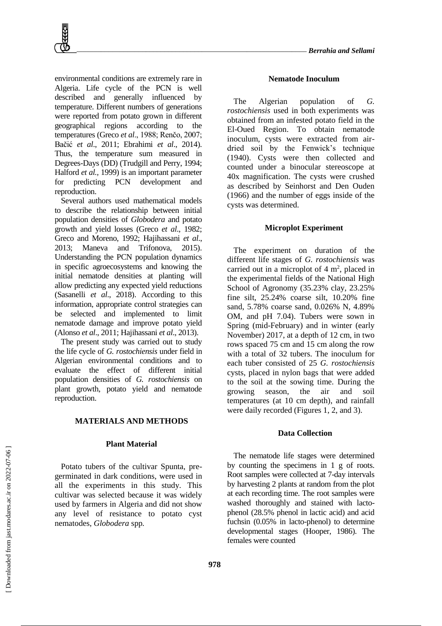environmental conditions are extremely rare in Algeria. Life cycle of the PCN is well described and generally influenced by temperature. Different numbers of generations were reported from potato grown in different geographical regions according to the temperatures (Greco *et al*., 1988; Renčo, 2007; Bačić *et al*., 2011; Ebrahimi *et al*., 2014). Thus, the temperature sum measured in Degrees-Days (DD) (Trudgill and Perry, 1994; Halford *et al.,* 1999) is an important parameter for predicting PCN development and reproduction.

Several authors used mathematical models to describe the relationship between initial population densities of *Globodera* and potato growth and yield losses (Greco *et al*., 1982; Greco and Moreno, 1992; Hajihassani *et al*., 2013; Maneva and Trifonova, 2015). Understanding the PCN population dynamics in specific agroecosystems and knowing the initial nematode densities at planting will allow predicting any expected yield reductions (Sasanelli *et al*., 2018). According to this information, appropriate control strategies can be selected and implemented to limit nematode damage and improve potato yield (Alonso *et al*., 2011; Hajihassani *et al*., 2013).

The present study was carried out to study the life cycle of *G. rostochiensis* under field in Algerian environmental conditions and to evaluate the effect of different initial population densities of *G. rostochiensis* on plant growth, potato yield and nematode reproduction.

#### **MATERIALS AND METHODS**

## **Plant Material**

Potato tubers of the cultivar Spunta, pregerminated in dark conditions, were used in all the experiments in this study. This cultivar was selected because it was widely used by farmers in Algeria and did not show any level of resistance to potato cyst nematodes, *Globodera* spp*.* 

#### **Nematode Inoculum**

The Algerian population of *G. rostochiensis* used in both experiments was obtained from an infested potato field in the El-Oued Region. To obtain nematode inoculum, cysts were extracted from airdried soil by the Fenwick's technique (1940). Cysts were then collected and counted under a binocular stereoscope at 40x magnification. The cysts were crushed as described by Seinhorst and Den Ouden (1966) and the number of eggs inside of the cysts was determined.

#### **Microplot Experiment**

The experiment on duration of the different life stages of *G. rostochiensis* was carried out in a microplot of  $4 \text{ m}^2$ , placed in the experimental fields of the National High School of Agronomy (35.23% clay, 23.25% fine silt, 25.24% coarse silt, 10.20% fine sand, 5.78% coarse sand, 0.026% N, 4.89% OM, and pH 7.04). Tubers were sown in Spring (mid-February) and in winter (early November) 2017, at a depth of 12 cm, in two rows spaced 75 cm and 15 cm along the row with a total of 32 tubers. The inoculum for each tuber consisted of 25 *G. rostochiensis* cysts, placed in nylon bags that were added to the soil at the sowing time. During the growing season, the air and soil temperatures (at 10 cm depth), and rainfall were daily recorded (Figures 1, 2, and 3).

#### **Data Collection**

The nematode life stages were determined by counting the specimens in 1 g of roots. Root samples were collected at 7-day intervals by harvesting 2 plants at random from the plot at each recording time. The root samples were washed thoroughly and stained with lactophenol (28.5% phenol in lactic acid) and acid fuchsin (0.05% in lacto-phenol) to determine developmental stages (Hooper, 1986). The females were counted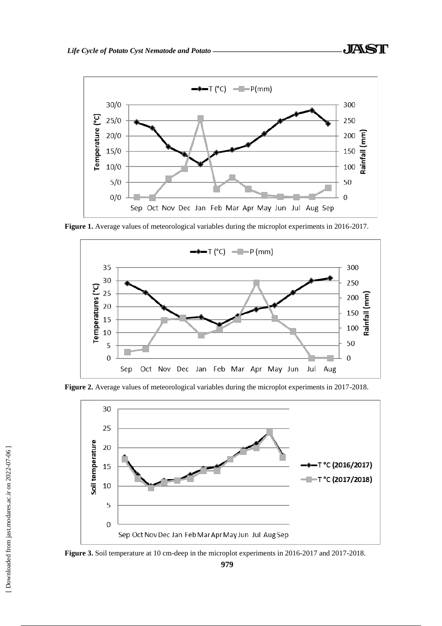

**Figure 1.** Average values of meteorological variables during the microplot experiments in 2016-2017.



**Figure 2.** Average values of meteorological variables during the microplot experiments in 2017-2018.



**Figure 3.** Soil temperature at 10 cm-deep in the microplot experiments in 2016-2017 and 2017-2018.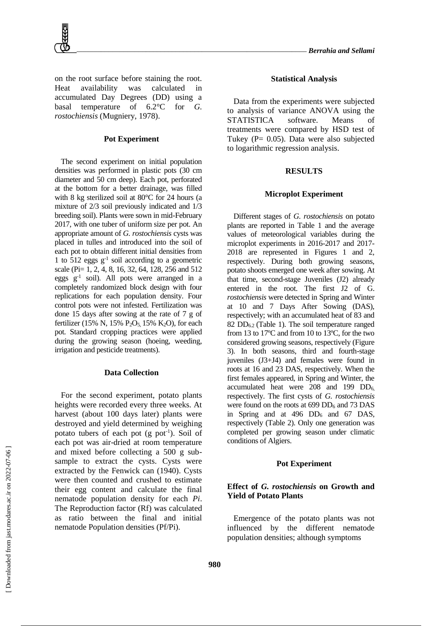on the root surface before staining the root. Heat availability was calculated in accumulated Day Degrees (DD) using a basal temperature of 6.2°C for *G. rostochiensis* (Mugniery, 1978).

#### **Pot Experiment**

The second experiment on initial population densities was performed in plastic pots (30 cm diameter and 50 cm deep). Each pot, perforated at the bottom for a better drainage, was filled with 8 kg sterilized soil at 80°C for 24 hours (a mixture of 2/3 soil previously indicated and 1/3 breeding soil). Plants were sown in mid-February 2017, with one tuber of uniform size per pot. An appropriate amount of *G. rostochiensis* cysts was placed in tulles and introduced into the soil of each pot to obtain different initial densities from 1 to 512 eggs g-1 soil according to a geometric scale (Pi= 1, 2, 4, 8, 16, 32, 64, 128, 256 and 512 eggs  $g^{-1}$  soil). All pots were arranged in a completely randomized block design with four replications for each population density. Four control pots were not infested. Fertilization was done 15 days after sowing at the rate of 7 g of fertilizer (15% N, 15% P<sub>2</sub>O<sub>5</sub>, 15% K<sub>2</sub>O), for each pot. Standard cropping practices were applied during the growing season (hoeing, weeding, irrigation and pesticide treatments).

#### **Data Collection**

For the second experiment, potato plants heights were recorded every three weeks. At harvest (about 100 days later) plants were destroyed and yield determined by weighing potato tubers of each pot (g pot<sup>-1</sup>). Soil of each pot was air-dried at room temperature and mixed before collecting a 500 g subsample to extract the cysts. Cysts were extracted by the Fenwick can (1940). Cysts were then counted and crushed to estimate their egg content and calculate the final nematode population density for each *Pi*. The Reproduction factor (Rf) was calculated as ratio between the final and initial nematode Population densities (Pf/Pi).

#### **Statistical Analysis**

Data from the experiments were subjected to analysis of variance ANOVA using the STATISTICA software. Means of treatments were compared by HSD test of Tukey (P= 0.05). Data were also subjected to logarithmic regression analysis.

### **RESULTS**

## **Microplot Experiment**

Different stages of *G. rostochiensis* on potato plants are reported in Table 1 and the average values of meteorological variables during the microplot experiments in 2016-2017 and 2017- 2018 are represented in Figures 1 and 2, respectively. During both growing seasons, potato shoots emerged one week after sowing. At that time, second-stage Juveniles (J2) already entered in the root. The first J2 of G. *rostochiensis* were detected in Spring and Winter at 10 and 7 Days After Sowing (DAS), respectively; with an accumulated heat of 83 and 82  $DD_{6,2}$  (Table 1). The soil temperature ranged from 13 to 17ºC and from 10 to 13ºC, for the two considered growing seasons, respectively (Figure 3). In both seasons, third and fourth-stage juveniles (J3+J4) and females were found in roots at 16 and 23 DAS, respectively. When the first females appeared, in Spring and Winter, the accumulated heat were  $208$  and  $199$   $DD<sub>6</sub>$ respectively. The first cysts of *G. rostochiensis* were found on the roots at  $699$  DD<sub>6</sub> and 73 DAS in Spring and at 496 DD<sup>6</sup> and 67 DAS, respectively (Table 2). Only one generation was completed per growing season under climatic conditions of Algiers.

#### **Pot Experiment**

## **Effect of** *G. rostochiensis* **on Growth and Yield of Potato Plants**

Emergence of the potato plants was not influenced by the different nematode population densities; although symptoms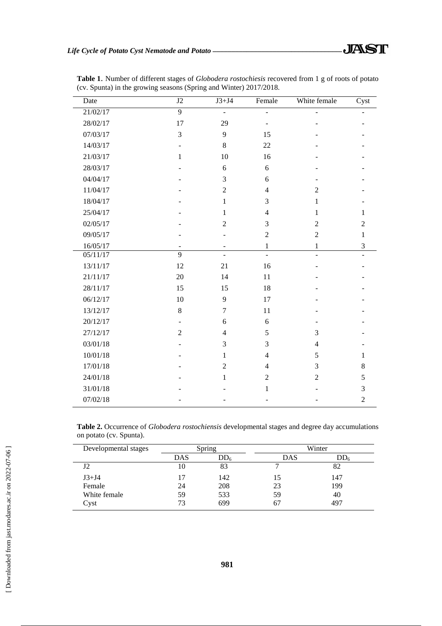| Date                  | J2                       | $J3+J4$        | Female                   | White female            | Cyst           |
|-----------------------|--------------------------|----------------|--------------------------|-------------------------|----------------|
| 21/02/17              | 9                        | $\blacksquare$ | $\overline{a}$           |                         |                |
| 28/02/17              | 17                       | 29             |                          |                         |                |
| 07/03/17              | 3                        | 9              | 15                       |                         |                |
| 14/03/17              | $\overline{\phantom{0}}$ | $\,8\,$        | 22                       |                         |                |
| 21/03/17              | $\mathbf{1}$             | 10             | 16                       |                         |                |
| 28/03/17              |                          | 6              | 6                        |                         |                |
| 04/04/17              |                          | 3              | 6                        |                         |                |
| 11/04/17              |                          | $\overline{2}$ | $\overline{4}$           | $\overline{2}$          |                |
| 18/04/17              |                          | 1              | 3                        | 1                       |                |
| 25/04/17              |                          | $\mathbf{1}$   | $\overline{\mathcal{L}}$ | $\mathbf{1}$            | 1              |
| 02/05/17              |                          | $\overline{2}$ | 3                        | $\overline{2}$          | $\overline{2}$ |
| 09/05/17              |                          |                | $\overline{2}$           | $\overline{c}$          | $\mathbf{1}$   |
| 16/05/17              |                          | ۰              | $\mathbf{1}$             | $\mathbf{1}$            | $\mathfrak{Z}$ |
| $\overline{05/1}1/17$ | $\overline{9}$           | $\overline{a}$ |                          |                         |                |
| 13/11/17              | 12                       | 21             | 16                       |                         |                |
| 21/11/17              | 20                       | 14             | 11                       |                         |                |
| 28/11/17              | 15                       | 15             | 18                       |                         |                |
| 06/12/17              | 10                       | 9              | 17                       |                         |                |
| 13/12/17              | $\,8\,$                  | $\overline{7}$ | 11                       |                         |                |
| 20/12/17              | $\overline{\phantom{0}}$ | 6              | 6                        |                         |                |
| 27/12/17              | $\overline{2}$           | $\overline{4}$ | 5                        | 3                       |                |
| 03/01/18              |                          | 3              | 3                        | $\overline{\mathbf{4}}$ |                |
| 10/01/18              |                          | $\mathbf{1}$   | $\overline{\mathcal{L}}$ | 5                       | 1              |
| 17/01/18              |                          | $\overline{2}$ | $\overline{4}$           | 3                       | $8\,$          |
| 24/01/18              |                          | $\mathbf{1}$   | $\overline{2}$           | $\overline{c}$          | 5              |
| 31/01/18              |                          |                | $\mathbf{1}$             |                         | 3              |
| 07/02/18              |                          |                |                          |                         | $\overline{2}$ |

**Table 1**. Number of different stages of *Globodera rostochiesis* recovered from 1 g of roots of potato (cv. Spunta) in the growing seasons (Spring and Winter) 2017/2018.

**Table 2.** Occurrence of *Globodera rostochiensis* developmental stages and degree day accumulations on potato (cv. Spunta).

| Developmental stages | Spring |                 | Winter |                 |  |
|----------------------|--------|-----------------|--------|-----------------|--|
|                      | DAS    | DD <sub>6</sub> | DAS    | DD <sub>6</sub> |  |
| J2                   | 10     | 83              |        | 82              |  |
| $J3+J4$              | 17     | 142             | 15     | 147             |  |
| Female               | 24     | 208             | 23     | 199             |  |
| White female         | 59     | 533             | 59     | 40              |  |
| Cyst                 | 73     | 699             | 67     | 497             |  |

l,

l,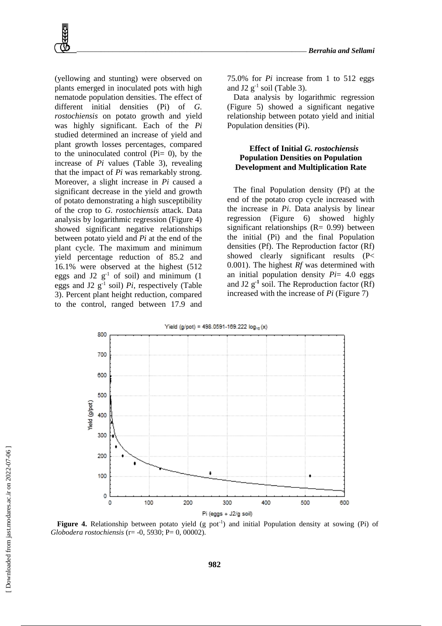(yellowing and stunting) were observed on plants emerged in inoculated pots with high nematode population densities. The effect of different initial densities (Pi) of *G. rostochiensis* on potato growth and yield was highly significant. Each of the *Pi* studied determined an increase of yield and plant growth losses percentages, compared to the uninoculated control ( $Pi = 0$ ), by the increase of *Pi* values (Table 3), revealing that the impact of *Pi* was remarkably strong. Moreover, a slight increase in *Pi* caused a significant decrease in the yield and growth of potato demonstrating a high susceptibility of the crop to *G. rostochiensis* attack. Data analysis by logarithmic regression (Figure 4) showed significant negative relationships between potato yield and *Pi* at the end of the plant cycle. The maximum and minimum yield percentage reduction of 85.2 and 16.1% were observed at the highest (512 eggs and J2  $g^{-1}$  of soil) and minimum (1 eggs and J2  $g^{-1}$  soil) *Pi*, respectively (Table 3). Percent plant height reduction, compared to the control, ranged between 17.9 and

75.0% for *Pi* increase from 1 to 512 eggs and J2  $g^{-1}$  soil (Table 3).

Data analysis by logarithmic regression (Figure 5) showed a significant negative relationship between potato yield and initial Population densities (Pi).

## **Effect of Initial** *G. rostochiensis* **Population Densities on Population Development and Multiplication Rate**

The final Population density (Pf) at the end of the potato crop cycle increased with the increase in *Pi*. Data analysis by linear regression (Figure 6) showed highly significant relationships  $(R = 0.99)$  between the initial (Pi) and the final Population densities (Pf). The Reproduction factor (Rf) showed clearly significant results (P< 0.001). The highest *Rf* was determined with an initial population density *Pi*= 4.0 eggs and J2 g**-1** soil. The Reproduction factor (Rf) increased with the increase of *Pi* (Figure 7)



**Figure 4.** Relationship between potato yield (g pot<sup>1</sup>) and initial Population density at sowing (Pi) of *Globodera rostochiensis* (r= -0, 5930; P= 0, 00002).

**982**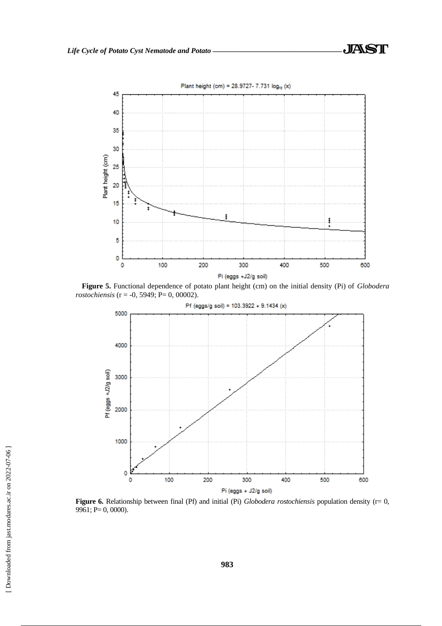

**Figure 5.** Functional dependence of potato plant height (cm) on the initial density (Pi) of *Globodera rostochiensis* (r = -0, 5949; P= 0, 00002).



Figure 6. Relationship between final (Pf) and initial (Pi) *Globodera rostochiensis* population density (r= 0,  $9961; P= 0, 0000$ ).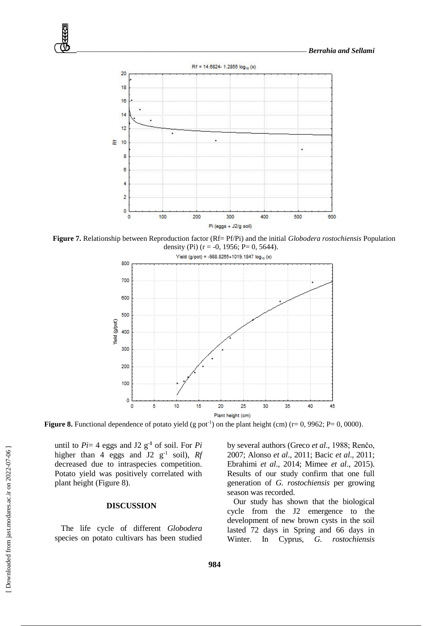

**Figure 7.** Relationship between Reproduction factor (Rf= Pf/Pi) and the initial *Globodera rostochiensis* Population density (Pi) ( $r = -0$ , 1956; P= 0, 5644).



**Figure 8.** Functional dependence of potato yield (g pot<sup>-1</sup>) on the plant height (cm) ( $r=0$ , 9962;  $P=0$ , 0000).

until to  $Pi = 4$  eggs and J2  $g^{-1}$  of soil. For  $Pi$ higher than 4 eggs and J2 g<sup>-1</sup> soil), Rf decreased due to intraspecies competition. Potato yield was positively correlated with plant height (Figure 8).

## **DISCUSSION**

The life cycle of different *Globodera* species on potato cultivars has been studied by several authors (Greco *et al*., 1988; Renčo, 2007; Alonso *et al*., 2011; Bacic *et al*., 2011; Ebrahimi *et al*., 2014; Mimee *et al*., 2015). Results of our study confirm that one full generation of *G. rostochiensis* per growing season was recorded.

Our study has shown that the biological cycle from the J2 emergence to the development of new brown cysts in the soil lasted 72 days in Spring and 66 days in Winter. In Cyprus, *G. rostochiensis*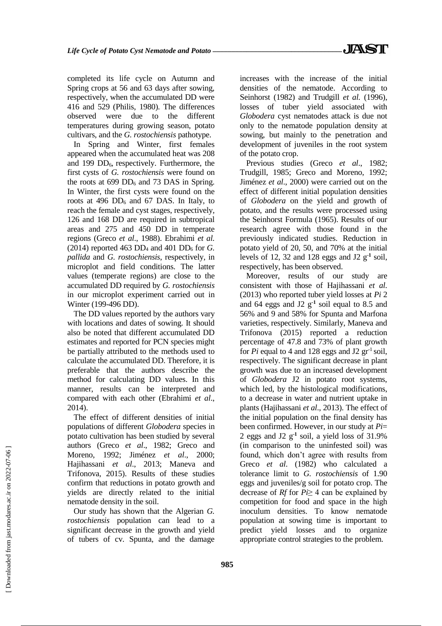completed its life cycle on Autumn and Spring crops at 56 and 63 days after sowing, respectively, when the accumulated DD were 416 and 529 (Philis, 1980). The differences observed were due to the different temperatures during growing season, potato cultivars, and the *G. rostochiensis* pathotype.

In Spring and Winter, first females appeared when the accumulated heat was 208 and 199  $DD_6$ , respectively. Furthermore, the first cysts of *G. rostochiensis* were found on the roots at  $699$  DD<sub>6</sub> and 73 DAS in Spring. In Winter, the first cysts were found on the roots at 496  $DD_6$  and 67 DAS. In Italy, to reach the female and cyst stages, respectively*,*  126 and 168 DD are required in subtropical areas and 275 and 450 DD in temperate regions (Greco *et al*., 1988). Ebrahimi *et al.*  $(2014)$  reported 463 DD<sub>4</sub> and 401 DD<sub>6</sub> for *G*. *pallida* and *G. rostochiensis*, respectively, in microplot and field conditions. The latter values (temperate regions) are close to the accumulated DD required by *G. rostochiensis* in our microplot experiment carried out in Winter (199-496 DD).

The DD values reported by the authors vary with locations and dates of sowing. It should also be noted that different accumulated DD estimates and reported for PCN species might be partially attributed to the methods used to calculate the accumulated DD. Therefore, it is preferable that the authors describe the method for calculating DD values. In this manner, results can be interpreted and compared with each other (Ebrahimi *et al*., 2014).

The effect of different densities of initial populations of different *Globodera* species in potato cultivation has been studied by several authors (Greco *et al*., 1982; Greco and Moreno, 1992; Jiménez *et al*., 2000; Hajihassani *et al*., 2013; Maneva and Trifonova, 2015). Results of these studies confirm that reductions in potato growth and yields are directly related to the initial nematode density in the soil.

Our study has shown that the Algerian *G. rostochiensis* population can lead to a significant decrease in the growth and yield of tubers of cv. Spunta, and the damage increases with the increase of the initial densities of the nematode. According to Seinhorst (1982) and Trudgill *et al.* (1996), losses of tuber yield associated with *Globodera* cyst nematodes attack is due not only to the nematode population density at sowing, but mainly to the penetration and development of juveniles in the root system of the potato crop.

Previous studies (Greco *et al*., 1982; Trudgill, 1985; Greco and Moreno, 1992; Jiménez *et al*., 2000) were carried out on the effect of different initial population densities of *Globodera* on the yield and growth of potato, and the results were processed using the Seinhorst Formula (1965). Results of our research agree with those found in the previously indicated studies. Reduction in potato yield of 20, 50, and 70% at the initial levels of 12, 32 and 128 eggs and J2 g**-1** soil, respectively, has been observed.

Moreover, results of our study are consistent with those of Hajihassani *et al.* (2013) who reported tuber yield losses at *Pi* 2 and 64 eggs and J2 g**-1** soil equal to 8.5 and 56% and 9 and 58% for Spunta and Marfona varieties, respectively. Similarly, Maneva and Trifonova (2015) reported a reduction percentage of 47.8 and 73% of plant growth for  $Pi$  equal to 4 and 128 eggs and J2  $gr<sup>-1</sup>$  soil, respectively. The significant decrease in plant growth was due to an increased development of *Globodera* J2 in potato root systems, which led, by the histological modifications, to a decrease in water and nutrient uptake in plants (Hajihassani *et al*., 2013). The effect of the initial population on the final density has been confirmed. However, in our study at *Pi*= 2 eggs and J2 g**-1** soil, a yield loss of 31.9% (in comparison to the uninfested soil) was found, which don't agree with results from Greco *et al*. (1982) who calculated a tolerance limit to *G. rostochiensis* of 1.90 eggs and juveniles/g soil for potato crop. The decrease of *Rf* for *Pi*≥ 4 can be explained by competition for food and space in the high inoculum densities. To know nematode population at sowing time is important to predict yield losses and to organize appropriate control strategies to the problem.

**985**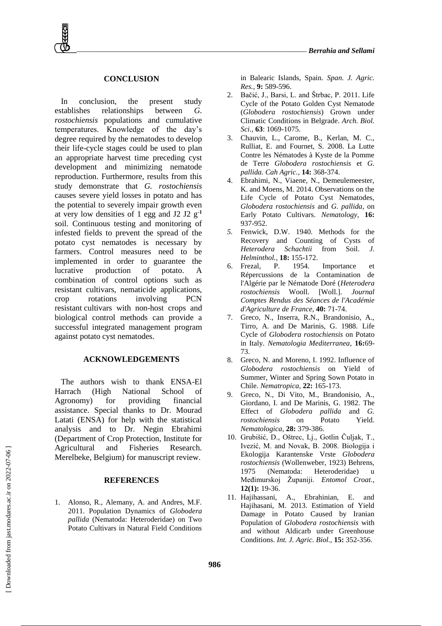## **CONCLUSION**

In conclusion, the present study establishes relationships between *G. rostochiensis* populations and cumulative temperatures. Knowledge of the day's degree required by the nematodes to develop their life-cycle stages could be used to plan an appropriate harvest time preceding cyst development and minimizing nematode reproduction. Furthermore, results from this study demonstrate that *G. rostochiensis* causes severe yield losses in potato and has the potential to severely impair growth even at very low densities of 1 egg and J2 J2 g**-1** soil. Continuous testing and monitoring of infested fields to prevent the spread of the potato cyst nematodes is necessary by farmers. Control measures need to be implemented in order to guarantee the lucrative production of potato. A combination of control options such as resistant cultivars, nematicide applications, crop rotations involving PCN resistant cultivars with non-host crops and biological control methods can provide a successful integrated management program against potato cyst nematodes.

#### **ACKNOWLEDGEMENTS**

The authors wish to thank ENSA-El Harrach (High National School of Agronomy) for providing financial assistance. Special thanks to Dr. Mourad Latati (ENSA) for help with the statistical analysis and to Dr. Negin Ebrahimi (Department of Crop Protection, Institute for Agricultural and Fisheries Research. Merelbeke, Belgium) for manuscript review.

#### **REFERENCES**

1. Alonso, R., Alemany, A. and Andres, M.F. 2011. Population Dynamics of *Globodera pallida* (Nematoda: Heteroderidae) on Two Potato Cultivars in Natural Field Conditions

in Balearic Islands, Spain. *Span. J. Agric. Res.,* **9:** 589-596.

- 2. Bačić, J., Barsi, L. and Štrbac, P. 2011. Life Cycle of the Potato Golden Cyst Nematode (*Globodera rostochiensis*) Grown under Climatic Conditions in Belgrade. *Arch. Biol. Sci.,* **63**: 1069-1075.
- 3. Chauvin, L., Carome, B., Kerlan, M. C., Rulliat, E. and Fournet, S. 2008. La Lutte Contre les Nématodes à Kyste de la Pomme de Terre *Globodera rostochiensis* et *G. pallida. Cah Agric.,* **14:** 368**-**374.
- 4. Ebrahimi, N., Viaene, N., Demeulemeester, K. and Moens, M. 2014. Observations on the Life Cycle of Potato Cyst Nematodes, *Globodera rostochiensis* and *G. pallida*, on Early Potato Cultivars. *Nematology,* **16:** 937-952.
- *5.* Fenwick, D.W. 1940. Methods for the Recovery and Counting of Cysts of *Heterodera Schachtii* from Soil. *J. Helminthol.*, **18:** 155-172.
- 6. Frezal, P. 1954. Importance et Répercussions de la Contamination de l'Algérie par le Nématode Doré (*Heterodera rostochiensis* Wooll. [Woll.]. *Journal Comptes Rendus des Séances de l'Académie d'Agriculture de France,* **40:** 71-74.
- 7. Greco, N., Inserra, R.N., Brandonisio, A., Tirro, A. and De Marinis, G. 1988. Life Cycle of *Globodera rostochiensis* on Potato in Italy. *Nematologia Mediterranea*, **16:**69- 73.
- 8. Greco, N. and Moreno, I. 1992. Influence of *Globodera rostochiensis* on Yield of Summer, Winter and Spring Sown Potato in Chile. *Nematropica,* **22:** 165-173.
- 9. Greco, N., Di Vito, M., Brandonisio, A., Giordano, I. and De Marinis, G. 1982. The Effect of *Globodera pallida* and *G. rostochiensis* on Potato Yield. *Nematologica,* **28:** 379-386.
- 10. Grubišić, D., Oštrec, Lj., Gotlin Čuljak, T., Ivezić, M. and Novak, B. 2008. Biologija i Ekologija Karantenske Vrste *Globodera rostochiensis* (Wollenweber, 1923) Behrens, 1975 (Nematoda: Heteroderidae) u Međimurskoj Županiji. *Entomol Croat.*, **12(1):** 19-36.
- 11. Hajihassani, A., Ebrahinian, E. and Hajihasani, M. 2013. Estimation of Yield Damage in Potato Caused by Iranian Population of *Globodera rostochiensis* with and without Aldicarb under Greenhouse Conditions. *Int. J. Agric. Biol.,* **15:** 352-356.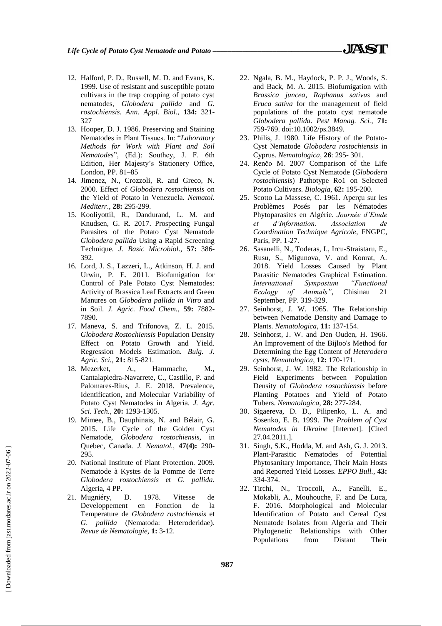- 12. Halford, P. D., Russell, M. D. and Evans, K. 1999. Use of resistant and susceptible potato cultivars in the trap cropping of potato cyst nematodes, *Globodera pallida* and *G. rostochiensis*. *Ann. Appl. Biol.*, **134:** 321- 327
- 13. Hooper, D. J. 1986. Preserving and Staining Nematodes in Plant Tissues. In: "*Laboratory Methods for Work with Plant and Soil Nematodes*", (Ed.): Southey, J. F. 6th Edition, Her Majesty's Stationery Office, London, PP. 81–85
- 14. Jimenez, N., Crozzoli, R. and Greco, N. 2000. Effect of *Globodera rostochiensis* on the Yield of Potato in Venezuela. *Nematol. Mediterr*., **28:** 295-299.
- 15. Kooliyottil, R., Dandurand, L. M. and Knudsen, G. R. 2017. Prospecting Fungal Parasites of the Potato Cyst Nematode *Globodera pallida* Using a Rapid Screening Technique. *J. Basic Microbiol*., **57:** 386**-** 392.
- 16. Lord, J. S., Lazzeri, L., Atkinson, H. J. and Urwin, P. E. 2011. Biofumigation for Control of Pale Potato Cyst Nematodes: Activity of Brassica Leaf Extracts and Green Manures on *Globodera pallida in Vitro* and in Soil. *J. Agric. Food Chem.,* **59:** 7882- 7890.
- 17. Maneva, S. and Trifonova, Z. L. 2015. *Globodera Rostochiensis* Population Density Effect on Potato Growth and Yield. Regression Models Estimation. *Bulg. J. Agric. Sci.,* **21:** 815-821.
- 18. Mezerket, A., Hammache, M., Cantalapiedra-Navarrete, C., Castillo, P. and Palomares-Rius, J. E. 2018. Prevalence, Identification, and Molecular Variability of Potato Cyst Nematodes in Algeria. *J. Agr. Sci. Tech.,* **20:** 1293-1305.
- 19. Mimee, B., Dauphinais, N. and Bélair, G. 2015. Life Cycle of the Golden Cyst Nematode, *Globodera rostochiensis*, in Quebec, Canada. *J. Nematol.,* **47(4):** 290- 295.
- 20. National Institute of Plant Protection. 2009. Nematode à Kystes de la Pomme de Terre *Globodera rostochiensis* et *G. pallida.*  Algeria, 4 PP.
- 21. Mugniéry, D. 1978. Vitesse de Developpement en Fonction de la Temperature de *Globodera rostochiensis* et *G. pallida* (Nematoda: Heteroderidae). *Revue de Nematologie,* **1:** 3-12.
- 22. Ngala, B. M., Haydock, P. P. J., Woods, S. and Back, M. A. 2015. Biofumigation with *Brassica juncea*, *Raphanus sativus* and *Eruca sativa* for the management of field populations of the potato cyst nematode *Globodera pallida*. *Pest Manag. Sci.,* **71:**  759-769. doi:10.1002/ps.3849.
- 23. Philis, J. 1980. Life History of the Potato-Cyst Nematode *Globodera rostochiensis* in Cyprus. *Nematologica,* **26**: 295- 301.
- 24. Renčo M. 2007 Comparison of the Life Cycle of Potato Cyst Nematode (*Globodera rostochiensis*) Pathotype Ro1 on Selected Potato Cultivars. *Biologia,* **62:** 195-200.
- 25. Scotto La Massese, C. 1961. Aperçu sur les Problèmes Posés par les Nématodes Phytoparasites en Algérie. *Journée d'Etude et d'Information. Association de Coordination Technique Agricole,* FNGPC, Paris, PP. 1-27.
- 26. Sasanelli, N., Toderas, I., Ircu-Straistaru, E., Rusu, S., Migunova, V. and Konrat, A. 2018. Yield Losses Caused by Plant Parasitic Nematodes Graphical Estimation. *International Symposium "Functional Ecology of Animals"*, Chisinau 21 September, PP. 319-329.
- 27. Seinhorst, J. W. 1965. The Relationship between Nematode Density and Damage to Plants. *Nematologica*, **11:** 137-154.
- 28. Seinhorst, J. W. and Den Ouden, H. 1966. An Improvement of the Bijloo's Method for Determining the Egg Content of *Heterodera cysts*. *Nematologica*, **12:** 170-171*.*
- 29. Seinhorst, J. W. 1982. The Relationship in Field Experiments between Population Density of *Globodera rostochiensis* before Planting Potatoes and Yield of Potato Tubers. *Nematologica*, **28:** 277-284.
- 30. Sigaereva, D. D., Pilipenko, L. A. and Sosenko, E. B. 1999. *The Problem of Cyst Nematodes in Ukraine* [Internet]. [Cited 27.04.2011.].
- 31. Singh, S.K., Hodda, M. and Ash, G. J. 2013. Plant-Parasitic Nematodes of Potential Phytosanitary Importance, Their Main Hosts and Reported Yield Losses. *EPPO Bull.,* **43:**  334-374.
- 32. Tirchi, N., Troccoli, A., Fanelli, E., Mokabli, A., Mouhouche, F. and De Luca, F. 2016. Morphological and Molecular Identification of Potato and Cereal Cyst Nematode Isolates from Algeria and Their Phylogenetic Relationships with Other Populations from Distant Their